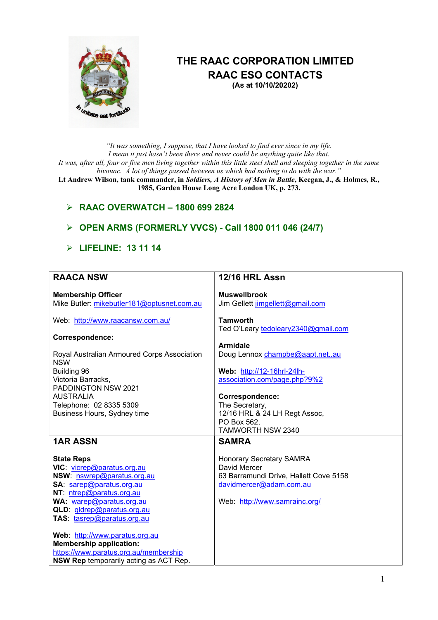

# THE RAAC CORPORATION LIMITED RAAC ESO CONTACTS

(As at 10/10/20202)

"It was something, I suppose, that I have looked to find ever since in my life. I mean it just hasn't been there and never could be anything quite like that. It was, after all, four or five men living together within this little steel shell and sleeping together in the same bivouac. A lot of things passed between us which had nothing to do with the war."

Lt Andrew Wilson, tank commander, in Soldiers, A History of Men in Battle, Keegan, J., & Holmes, R., 1985, Garden House Long Acre London UK, p. 273.

# $\triangleright$  RAAC OVERWATCH - 1800 699 2824

# **OPEN ARMS (FORMERLY VVCS) - Call 1800 011 046 (24/7)**

### $\triangleright$  LIFELINE: 13 11 14

| <b>RAACA NSW</b>                            | 12/16 HRL Assn                         |
|---------------------------------------------|----------------------------------------|
| <b>Membership Officer</b>                   | <b>Muswellbrook</b>                    |
| Mike Butler: mikebutler181@optusnet.com.au  |                                        |
|                                             | Jim Gellett jimgellett@gmail.com       |
| Web: http://www.raacansw.com.au/            | <b>Tamworth</b>                        |
|                                             | Ted O'Leary tedoleary2340@gmail.com    |
| Correspondence:                             |                                        |
|                                             | <b>Armidale</b>                        |
| Royal Australian Armoured Corps Association | Doug Lennox champbe@aapt.netau         |
| <b>NSW</b>                                  |                                        |
| Building 96                                 | Web: http://12-16hrl-24lh-             |
| Victoria Barracks,                          | association.com/page.php?9%2           |
| PADDINGTON NSW 2021                         |                                        |
| <b>AUSTRALIA</b>                            | Correspondence:                        |
| Telephone: 02 8335 5309                     | The Secretary,                         |
| Business Hours, Sydney time                 | 12/16 HRL & 24 LH Regt Assoc,          |
|                                             | PO Box 562.                            |
|                                             | TAMWORTH NSW 2340                      |
| <b>1AR ASSN</b>                             | <b>SAMRA</b>                           |
|                                             |                                        |
| <b>State Reps</b>                           | <b>Honorary Secretary SAMRA</b>        |
| VIC: vicrep@paratus.org.au                  | David Mercer                           |
| NSW: nswrep@paratus.org.au                  | 63 Barramundi Drive, Hallett Cove 5158 |
| SA: sarep@paratus.org.au                    | davidmercer@adam.com.au                |
| NT: ntrep@paratus.org.au                    |                                        |
| WA: warep@paratus.org.au                    | Web: http://www.samrainc.org/          |
| QLD: gldrep@paratus.org.au                  |                                        |
| TAS: tasrep@paratus.org.au                  |                                        |
|                                             |                                        |
| Web: http://www.paratus.org.au              |                                        |
| <b>Membership application:</b>              |                                        |
| https://www.paratus.org.au/membership       |                                        |
| NSW Rep temporarily acting as ACT Rep.      |                                        |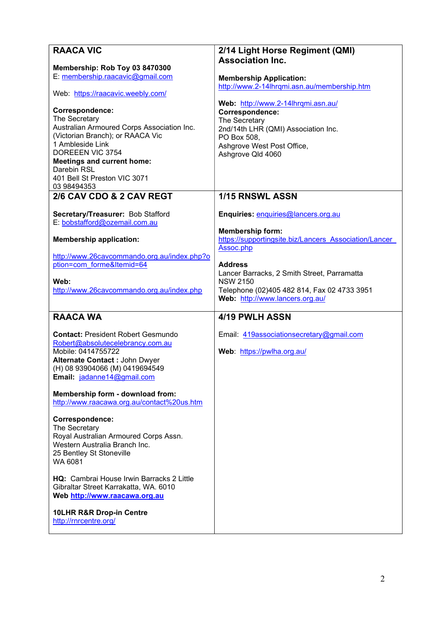| <b>RAACA VIC</b>                                                                                                                                                                                                                                              | 2/14 Light Horse Regiment (QMI)                                                                                                                                                 |
|---------------------------------------------------------------------------------------------------------------------------------------------------------------------------------------------------------------------------------------------------------------|---------------------------------------------------------------------------------------------------------------------------------------------------------------------------------|
| Membership: Rob Toy 03 8470300                                                                                                                                                                                                                                | <b>Association Inc.</b>                                                                                                                                                         |
| E: membership.raacavic@gmail.com                                                                                                                                                                                                                              | <b>Membership Application:</b>                                                                                                                                                  |
| Web: https://raacavic.weebly.com/                                                                                                                                                                                                                             | http://www.2-14lhrqmi.asn.au/membership.htm                                                                                                                                     |
| Correspondence:<br>The Secretary<br>Australian Armoured Corps Association Inc.<br>(Victorian Branch); or RAACA Vic<br>1 Ambleside Link<br>DOREEEN VIC 3754<br><b>Meetings and current home:</b><br>Darebin RSL<br>401 Bell St Preston VIC 3071<br>03 98494353 | Web: http://www.2-14lhrqmi.asn.au/<br>Correspondence:<br>The Secretary<br>2nd/14th LHR (QMI) Association Inc.<br>PO Box 508,<br>Ashgrove West Post Office,<br>Ashgrove Qld 4060 |
| 2/6 CAV CDO & 2 CAV REGT                                                                                                                                                                                                                                      | 1/15 RNSWL ASSN                                                                                                                                                                 |
| Secretary/Treasurer: Bob Stafford<br>E: bobstafford@ozemail.com.au                                                                                                                                                                                            | Enquiries: enquiries@lancers.org.au                                                                                                                                             |
| <b>Membership application:</b>                                                                                                                                                                                                                                | <b>Membership form:</b><br>https://supportingsite.biz/Lancers Association/Lancer<br>Assoc.php                                                                                   |
| http://www.26cavcommando.org.au/index.php?o<br>ption=com forme&Itemid=64                                                                                                                                                                                      | <b>Address</b><br>Lancer Barracks, 2 Smith Street, Parramatta                                                                                                                   |
| Web:                                                                                                                                                                                                                                                          | <b>NSW 2150</b>                                                                                                                                                                 |
| http://www.26cavcommando.org.au/index.php                                                                                                                                                                                                                     | Telephone (02)405 482 814, Fax 02 4733 3951<br>Web: http://www.lancers.org.au/                                                                                                  |
| <b>RAACA WA</b>                                                                                                                                                                                                                                               | 4/19 PWLH ASSN                                                                                                                                                                  |
| <b>Contact: President Robert Gesmundo</b>                                                                                                                                                                                                                     | Email: 419associationsecretary@gmail.com                                                                                                                                        |
| Robert@absolutecelebrancy.com.au<br>Mobile: 0414755722                                                                                                                                                                                                        | Web: https://pwlha.org.au/                                                                                                                                                      |
| Alternate Contact: John Dwyer                                                                                                                                                                                                                                 |                                                                                                                                                                                 |
| (M) 0419694549<br>Email: jadanne @                                                                                                                                                                                                                            |                                                                                                                                                                                 |
| Membership form - download from:                                                                                                                                                                                                                              |                                                                                                                                                                                 |
| http://www.raacawa.org.au/contact%20us.htm                                                                                                                                                                                                                    |                                                                                                                                                                                 |
| Correspondence:                                                                                                                                                                                                                                               |                                                                                                                                                                                 |
| The Secretary                                                                                                                                                                                                                                                 |                                                                                                                                                                                 |
| Royal Australian Armoured Corps Assn.<br>Western Australia Branch Inc.                                                                                                                                                                                        |                                                                                                                                                                                 |
| 25 Bentley St Stoneville                                                                                                                                                                                                                                      |                                                                                                                                                                                 |
| WA 6081                                                                                                                                                                                                                                                       |                                                                                                                                                                                 |
| <b>HQ:</b> Cambrai House Irwin Barracks 2 Little<br>Gibraltar Street Karrakatta, WA. 6010                                                                                                                                                                     |                                                                                                                                                                                 |
| Web http://www.raacawa.org.au                                                                                                                                                                                                                                 |                                                                                                                                                                                 |
| 10LHR R&R Drop-in Centre                                                                                                                                                                                                                                      |                                                                                                                                                                                 |
| http://rnrcentre.org/                                                                                                                                                                                                                                         |                                                                                                                                                                                 |
|                                                                                                                                                                                                                                                               |                                                                                                                                                                                 |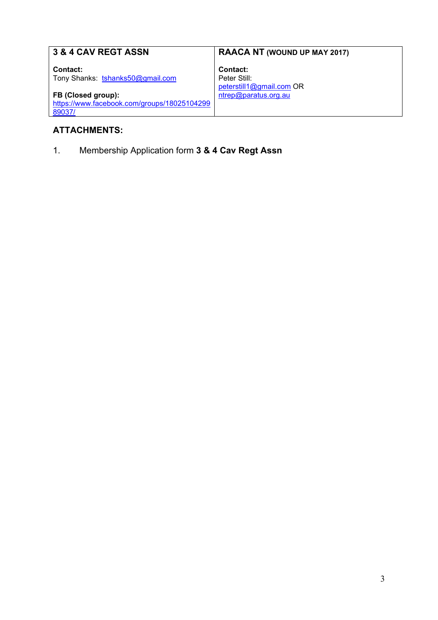| <b>3 &amp; 4 CAV REGT ASSN</b>              | <b>RAACA NT (WOUND UP MAY 2017)</b> |
|---------------------------------------------|-------------------------------------|
| Contact:                                    | Contact:                            |
| Tony Shanks: tshanks50@gmail.com            | Peter Still:                        |
|                                             | peterstill1@gmail.com OR            |
| FB (Closed group):                          | ntrep@paratus.org.au                |
| https://www.facebook.com/groups/18025104299 |                                     |
| 89037/                                      |                                     |
|                                             |                                     |

# ATTACHMENTS:

1. Membership Application form 3 & 4 Cav Regt Assn